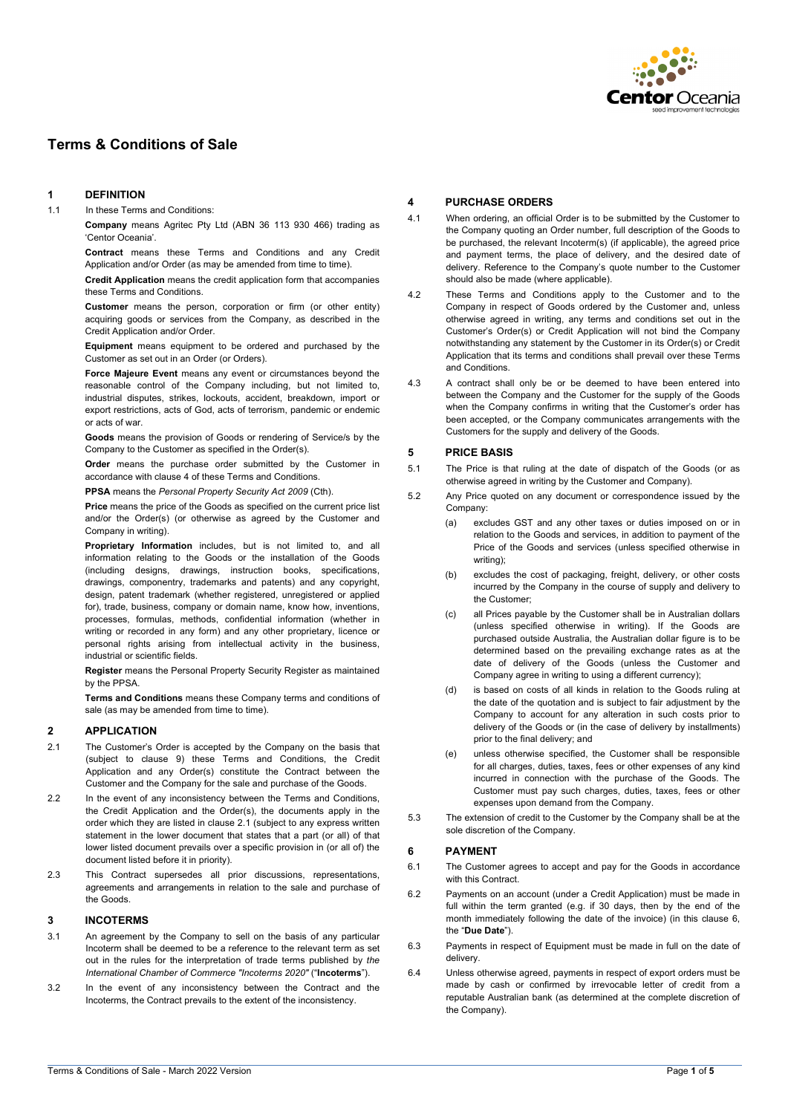

# **Terms & Conditions of Sale**

# **1 DEFINITION**

1.1 In these Terms and Conditions:

**Company** means Agritec Pty Ltd (ABN 36 113 930 466) trading as 'Centor Oceania'.

**Contract** means these Terms and Conditions and any Credit Application and/or Order (as may be amended from time to time).

**Credit Application** means the credit application form that accompanies these Terms and Conditions.

**Customer** means the person, corporation or firm (or other entity) acquiring goods or services from the Company, as described in the Credit Application and/or Order.

**Equipment** means equipment to be ordered and purchased by the Customer as set out in an Order (or Orders).

**Force Majeure Event** means any event or circumstances beyond the reasonable control of the Company including, but not limited to, industrial disputes, strikes, lockouts, accident, breakdown, import or export restrictions, acts of God, acts of terrorism, pandemic or endemic or acts of war.

**Goods** means the provision of Goods or rendering of Service/s by the Company to the Customer as specified in the Order(s).

**Order** means the purchase order submitted by the Customer in accordance with clause [4](#page-0-0) of these Terms and Conditions.

**PPSA** means the *Personal Property Security Act 2009* (Cth).

**Price** means the price of the Goods as specified on the current price list and/or the Order(s) (or otherwise as agreed by the Customer and Company in writing).

**Proprietary Information** includes, but is not limited to, and all information relating to the Goods or the installation of the Goods (including designs, drawings, instruction books, specifications, drawings, componentry, trademarks and patents) and any copyright, design, patent trademark (whether registered, unregistered or applied for), trade, business, company or domain name, know how, inventions. processes, formulas, methods, confidential information (whether in writing or recorded in any form) and any other proprietary, licence or personal rights arising from intellectual activity in the business, industrial or scientific fields.

**Register** means the Personal Property Security Register as maintained by the PPSA.

**Terms and Conditions** means these Company terms and conditions of sale (as may be amended from time to time).

## **2 APPLICATION**

- <span id="page-0-1"></span>2.1 The Customer's Order is accepted by the Company on the basis that (subject to clause [9\)](#page-1-0) these Terms and Conditions, the Credit Application and any Order(s) constitute the Contract between the Customer and the Company for the sale and purchase of the Goods.
- 2.2 In the event of any inconsistency between the Terms and Conditions, the Credit Application and the Order(s), the documents apply in the order which they are listed in claus[e 2.1](#page-0-1) (subject to any express written statement in the lower document that states that a part (or all) of that lower listed document prevails over a specific provision in (or all of) the document listed before it in priority).
- 2.3 This Contract supersedes all prior discussions, representations, agreements and arrangements in relation to the sale and purchase of the Goods.

### **3 INCOTERMS**

- 3.1 An agreement by the Company to sell on the basis of any particular Incoterm shall be deemed to be a reference to the relevant term as set out in the rules for the interpretation of trade terms published by *the International Chamber of Commerce "Incoterms 2020"* ("**Incoterms**").
- 3.2 In the event of any inconsistency between the Contract and the Incoterms, the Contract prevails to the extent of the inconsistency.

### <span id="page-0-0"></span>**4 PURCHASE ORDERS**

- 4.1 When ordering, an official Order is to be submitted by the Customer to the Company quoting an Order number, full description of the Goods to be purchased, the relevant Incoterm(s) (if applicable), the agreed price and payment terms, the place of delivery, and the desired date of delivery. Reference to the Company's quote number to the Customer should also be made (where applicable).
- 4.2 These Terms and Conditions apply to the Customer and to the Company in respect of Goods ordered by the Customer and, unless otherwise agreed in writing, any terms and conditions set out in the Customer's Order(s) or Credit Application will not bind the Company notwithstanding any statement by the Customer in its Order(s) or Credit Application that its terms and conditions shall prevail over these Terms and Conditions.
- 4.3 A contract shall only be or be deemed to have been entered into between the Company and the Customer for the supply of the Goods when the Company confirms in writing that the Customer's order has been accepted, or the Company communicates arrangements with the Customers for the supply and delivery of the Goods.

### **5 PRICE BASIS**

- 5.1 The Price is that ruling at the date of dispatch of the Goods (or as otherwise agreed in writing by the Customer and Company).
- 5.2 Any Price quoted on any document or correspondence issued by the Company:
	- (a) excludes GST and any other taxes or duties imposed on or in relation to the Goods and services, in addition to payment of the Price of the Goods and services (unless specified otherwise in writing);
	- (b) excludes the cost of packaging, freight, delivery, or other costs incurred by the Company in the course of supply and delivery to the Customer;
	- (c) all Prices payable by the Customer shall be in Australian dollars (unless specified otherwise in writing). If the Goods are purchased outside Australia, the Australian dollar figure is to be determined based on the prevailing exchange rates as at the date of delivery of the Goods (unless the Customer and Company agree in writing to using a different currency);
	- (d) is based on costs of all kinds in relation to the Goods ruling at the date of the quotation and is subject to fair adjustment by the Company to account for any alteration in such costs prior to delivery of the Goods or (in the case of delivery by installments) prior to the final delivery; and
	- (e) unless otherwise specified, the Customer shall be responsible for all charges, duties, taxes, fees or other expenses of any kind incurred in connection with the purchase of the Goods. The Customer must pay such charges, duties, taxes, fees or other expenses upon demand from the Company.
- 5.3 The extension of credit to the Customer by the Company shall be at the sole discretion of the Company.

### <span id="page-0-2"></span>**6 PAYMENT**

- 6.1 The Customer agrees to accept and pay for the Goods in accordance with this Contract.
- 6.2 Payments on an account (under a Credit Application) must be made in full within the term granted (e.g. if 30 days, then by the end of the month immediately following the date of the invoice) (in this clause [6,](#page-0-2)  the "**Due Date**").
- 6.3 Payments in respect of Equipment must be made in full on the date of delivery.
- 6.4 Unless otherwise agreed, payments in respect of export orders must be made by cash or confirmed by irrevocable letter of credit from a reputable Australian bank (as determined at the complete discretion of the Company).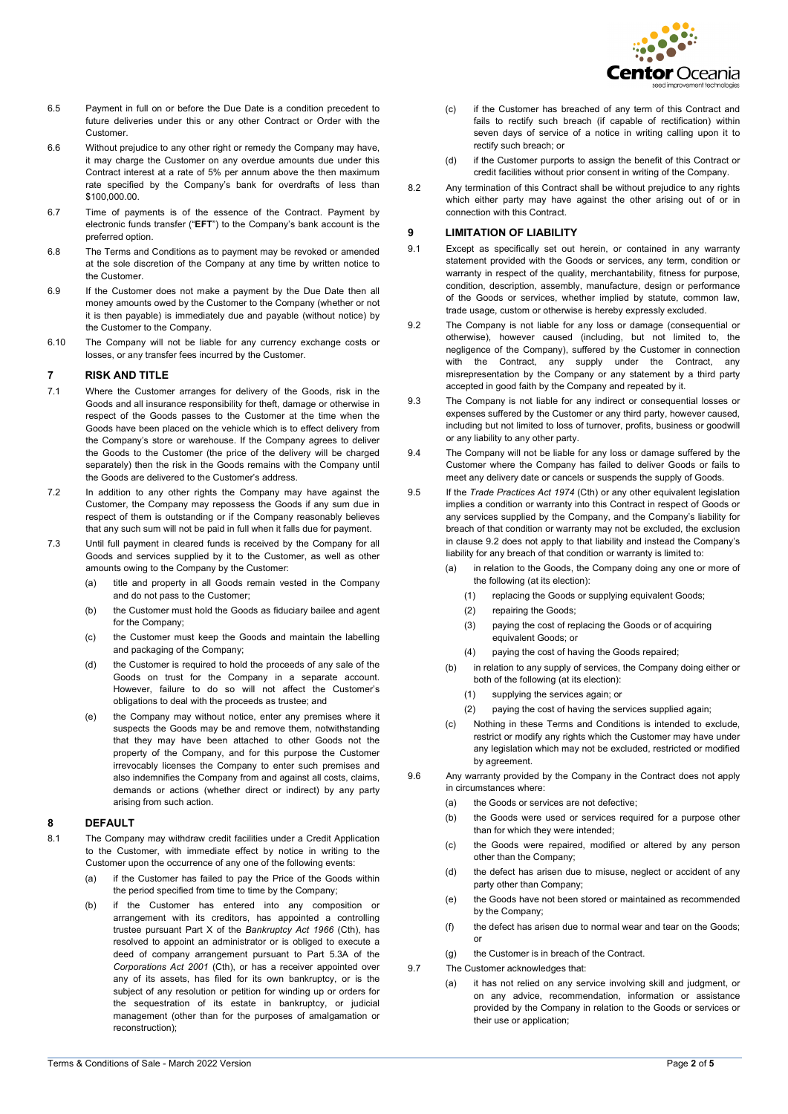

- 6.5 Payment in full on or before the Due Date is a condition precedent to future deliveries under this or any other Contract or Order with the Customer.
- 6.6 Without prejudice to any other right or remedy the Company may have, it may charge the Customer on any overdue amounts due under this Contract interest at a rate of 5% per annum above the then maximum rate specified by the Company's bank for overdrafts of less than \$100,000.00.
- 6.7 Time of payments is of the essence of the Contract. Payment by electronic funds transfer ("**EFT**") to the Company's bank account is the preferred option.
- 6.8 The Terms and Conditions as to payment may be revoked or amended at the sole discretion of the Company at any time by written notice to the Customer.
- 6.9 If the Customer does not make a payment by the Due Date then all money amounts owed by the Customer to the Company (whether or not it is then payable) is immediately due and payable (without notice) by the Customer to the Company.
- 6.10 The Company will not be liable for any currency exchange costs or losses, or any transfer fees incurred by the Customer.

#### **7 RISK AND TITLE**

- 7.1 Where the Customer arranges for delivery of the Goods, risk in the Goods and all insurance responsibility for theft, damage or otherwise in respect of the Goods passes to the Customer at the time when the Goods have been placed on the vehicle which is to effect delivery from the Company's store or warehouse. If the Company agrees to deliver the Goods to the Customer (the price of the delivery will be charged separately) then the risk in the Goods remains with the Company until the Goods are delivered to the Customer's address.
- 7.2 In addition to any other rights the Company may have against the Customer, the Company may repossess the Goods if any sum due in respect of them is outstanding or if the Company reasonably believes that any such sum will not be paid in full when it falls due for payment.
- 7.3 Until full payment in cleared funds is received by the Company for all Goods and services supplied by it to the Customer, as well as other amounts owing to the Company by the Customer:
	- (a) title and property in all Goods remain vested in the Company and do not pass to the Customer;
	- (b) the Customer must hold the Goods as fiduciary bailee and agent for the Company;
	- (c) the Customer must keep the Goods and maintain the labelling and packaging of the Company;
	- (d) the Customer is required to hold the proceeds of any sale of the Goods on trust for the Company in a separate account. However, failure to do so will not affect the Customer's obligations to deal with the proceeds as trustee; and
	- (e) the Company may without notice, enter any premises where it suspects the Goods may be and remove them, notwithstanding that they may have been attached to other Goods not the property of the Company, and for this purpose the Customer irrevocably licenses the Company to enter such premises and also indemnifies the Company from and against all costs, claims, demands or actions (whether direct or indirect) by any party arising from such action.

### <span id="page-1-2"></span>**8 DEFAULT**

- 8.1 The Company may withdraw credit facilities under a Credit Application to the Customer, with immediate effect by notice in writing to the Customer upon the occurrence of any one of the following events:
	- (a) if the Customer has failed to pay the Price of the Goods within the period specified from time to time by the Company;
	- (b) if the Customer has entered into any composition or arrangement with its creditors, has appointed a controlling trustee pursuant Part X of the *Bankruptcy Act 1966* (Cth), has resolved to appoint an administrator or is obliged to execute a deed of company arrangement pursuant to Part 5.3A of the *Corporations Act 2001* (Cth), or has a receiver appointed over any of its assets, has filed for its own bankruptcy, or is the subject of any resolution or petition for winding up or orders for the sequestration of its estate in bankruptcy, or judicial management (other than for the purposes of amalgamation or reconstruction);
- (c) if the Customer has breached of any term of this Contract and fails to rectify such breach (if capable of rectification) within seven days of service of a notice in writing calling upon it to rectify such breach; or
- (d) if the Customer purports to assign the benefit of this Contract or credit facilities without prior consent in writing of the Company.
- 8.2 Any termination of this Contract shall be without prejudice to any rights which either party may have against the other arising out of or in connection with this Contract.

#### <span id="page-1-0"></span>**9 LIMITATION OF LIABILITY**

- 9.1 Except as specifically set out herein, or contained in any warranty statement provided with the Goods or services, any term, condition or warranty in respect of the quality, merchantability, fitness for purpose, condition, description, assembly, manufacture, design or performance of the Goods or services, whether implied by statute, common law, trade usage, custom or otherwise is hereby expressly excluded.
- <span id="page-1-1"></span>9.2 The Company is not liable for any loss or damage (consequential or otherwise), however caused (including, but not limited to, the negligence of the Company), suffered by the Customer in connection with the Contract, any supply under the Contract, any misrepresentation by the Company or any statement by a third party accepted in good faith by the Company and repeated by it.
- 9.3 The Company is not liable for any indirect or consequential losses or expenses suffered by the Customer or any third party, however caused, including but not limited to loss of turnover, profits, business or goodwill or any liability to any other party.
- 9.4 The Company will not be liable for any loss or damage suffered by the Customer where the Company has failed to deliver Goods or fails to meet any delivery date or cancels or suspends the supply of Goods.
- 9.5 If the *Trade Practices Act 1974* (Cth) or any other equivalent legislation implies a condition or warranty into this Contract in respect of Goods or any services supplied by the Company, and the Company's liability for breach of that condition or warranty may not be excluded, the exclusion in clause [9.2](#page-1-1) does not apply to that liability and instead the Company's liability for any breach of that condition or warranty is limited to:
	- (a) in relation to the Goods, the Company doing any one or more of the following (at its election):
		- (1) replacing the Goods or supplying equivalent Goods;
		- (2) repairing the Goods;
		- (3) paying the cost of replacing the Goods or of acquiring equivalent Goods; or
		- (4) paying the cost of having the Goods repaired;
	- (b) in relation to any supply of services, the Company doing either or both of the following (at its election):
		- (1) supplying the services again; or
		- (2) paying the cost of having the services supplied again;
	- (c) Nothing in these Terms and Conditions is intended to exclude, restrict or modify any rights which the Customer may have under any legislation which may not be excluded, restricted or modified by agreement.
- 9.6 Any warranty provided by the Company in the Contract does not apply in circumstances where:
	- (a) the Goods or services are not defective;
	- (b) the Goods were used or services required for a purpose other than for which they were intended;
	- (c) the Goods were repaired, modified or altered by any person other than the Company;
	- (d) the defect has arisen due to misuse, neglect or accident of any party other than Company;
	- (e) the Goods have not been stored or maintained as recommended by the Company;
	- (f) the defect has arisen due to normal wear and tear on the Goods; or
	- (g) the Customer is in breach of the Contract.
- 9.7 The Customer acknowledges that:
	- (a) it has not relied on any service involving skill and judgment, or on any advice, recommendation, information or assistance provided by the Company in relation to the Goods or services or their use or application;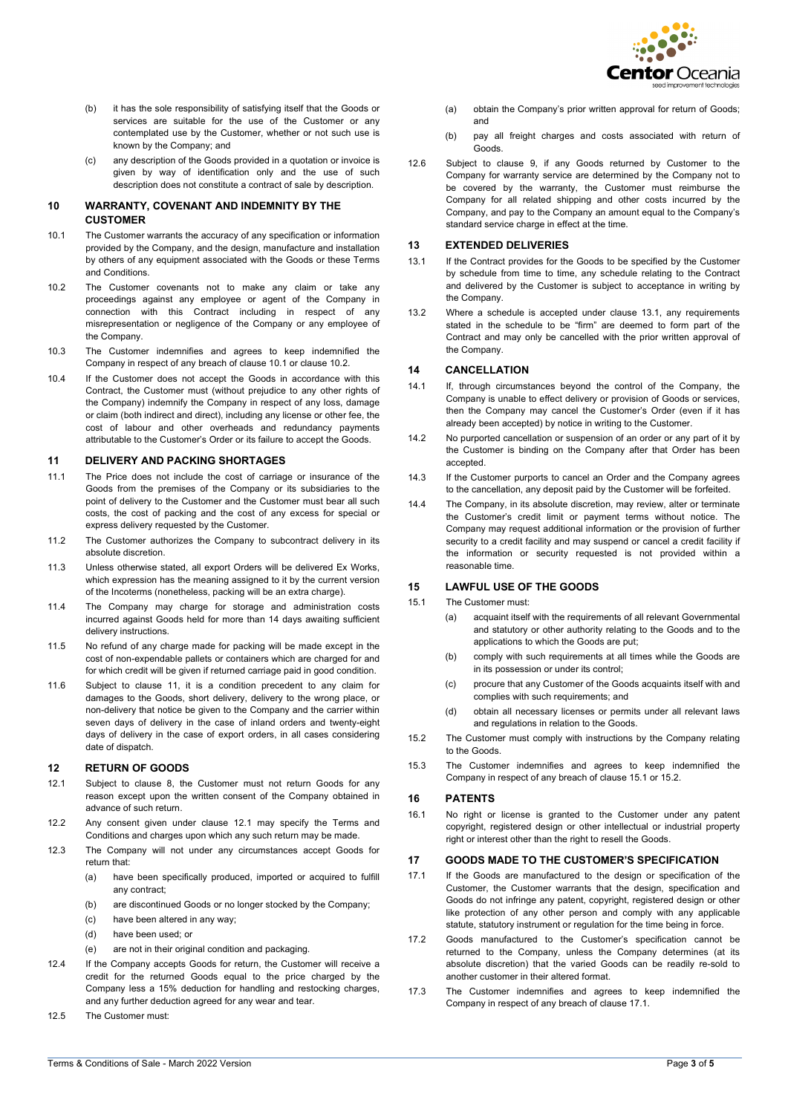

- (b) it has the sole responsibility of satisfying itself that the Goods or services are suitable for the use of the Customer or any contemplated use by the Customer, whether or not such use is known by the Company; and
- (c) any description of the Goods provided in a quotation or invoice is given by way of identification only and the use of such description does not constitute a contract of sale by description.

### **10 WARRANTY, COVENANT AND INDEMNITY BY THE CUSTOMER**

- <span id="page-2-0"></span>10.1 The Customer warrants the accuracy of any specification or information provided by the Company, and the design, manufacture and installation by others of any equipment associated with the Goods or these Terms and Conditions.
- <span id="page-2-1"></span>10.2 The Customer covenants not to make any claim or take any proceedings against any employee or agent of the Company in connection with this Contract including in respect of any misrepresentation or negligence of the Company or any employee of the Company.
- 10.3 The Customer indemnifies and agrees to keep indemnified the Company in respect of any breach of claus[e 10.1](#page-2-0) or claus[e 10.2.](#page-2-1)
- 10.4 If the Customer does not accept the Goods in accordance with this Contract, the Customer must (without prejudice to any other rights of the Company) indemnify the Company in respect of any loss, damage or claim (both indirect and direct), including any license or other fee, the cost of labour and other overheads and redundancy payments attributable to the Customer's Order or its failure to accept the Goods.

#### <span id="page-2-2"></span>**11 DELIVERY AND PACKING SHORTAGES**

- 11.1 The Price does not include the cost of carriage or insurance of the Goods from the premises of the Company or its subsidiaries to the point of delivery to the Customer and the Customer must bear all such costs, the cost of packing and the cost of any excess for special or express delivery requested by the Customer.
- 11.2 The Customer authorizes the Company to subcontract delivery in its absolute discretion.
- 11.3 Unless otherwise stated, all export Orders will be delivered Ex Works, which expression has the meaning assigned to it by the current version of the Incoterms (nonetheless, packing will be an extra charge).
- 11.4 The Company may charge for storage and administration costs incurred against Goods held for more than 14 days awaiting sufficient delivery instructions.
- 11.5 No refund of any charge made for packing will be made except in the cost of non-expendable pallets or containers which are charged for and for which credit will be given if returned carriage paid in good condition.
- 11.6 Subject to clause [11,](#page-2-2) it is a condition precedent to any claim for damages to the Goods, short delivery, delivery to the wrong place, or non-delivery that notice be given to the Company and the carrier within seven days of delivery in the case of inland orders and twenty-eight days of delivery in the case of export orders, in all cases considering date of dispatch.

#### **12 RETURN OF GOODS**

- <span id="page-2-3"></span>12.1 Subject to clause [8,](#page-1-2) the Customer must not return Goods for any reason except upon the written consent of the Company obtained in advance of such return.
- 12.2 Any consent given under clause [12.1](#page-2-3) may specify the Terms and Conditions and charges upon which any such return may be made.
- 12.3 The Company will not under any circumstances accept Goods for return that:
	- (a) have been specifically produced, imported or acquired to fulfill any contract;
	- (b) are discontinued Goods or no longer stocked by the Company;
	- (c) have been altered in any way;
	- (d) have been used; or
	- (e) are not in their original condition and packaging.
- 12.4 If the Company accepts Goods for return, the Customer will receive a credit for the returned Goods equal to the price charged by the Company less a 15% deduction for handling and restocking charges, and any further deduction agreed for any wear and tear.
- 12.5 The Customer must:
- (a) obtain the Company's prior written approval for return of Goods; and
- (b) pay all freight charges and costs associated with return of Goods.
- 12.6 Subject to clause [9,](#page-1-0) if any Goods returned by Customer to the Company for warranty service are determined by the Company not to be covered by the warranty, the Customer must reimburse the Company for all related shipping and other costs incurred by the Company, and pay to the Company an amount equal to the Company's standard service charge in effect at the time.

#### **13 EXTENDED DELIVERIES**

- <span id="page-2-4"></span>13.1 If the Contract provides for the Goods to be specified by the Customer by schedule from time to time, any schedule relating to the Contract and delivered by the Customer is subject to acceptance in writing by the Company.
- 13.2 Where a schedule is accepted under clause [13.1,](#page-2-4) any requirements stated in the schedule to be "firm" are deemed to form part of the Contract and may only be cancelled with the prior written approval of the Company.

#### **14 CANCELLATION**

- 14.1 If, through circumstances beyond the control of the Company, the Company is unable to effect delivery or provision of Goods or services, then the Company may cancel the Customer's Order (even if it has already been accepted) by notice in writing to the Customer.
- 14.2 No purported cancellation or suspension of an order or any part of it by the Customer is binding on the Company after that Order has been accepted.
- 14.3 If the Customer purports to cancel an Order and the Company agrees to the cancellation, any deposit paid by the Customer will be forfeited.
- 14.4 The Company, in its absolute discretion, may review, alter or terminate the Customer's credit limit or payment terms without notice. The Company may request additional information or the provision of further security to a credit facility and may suspend or cancel a credit facility if the information or security requested is not provided within a reasonable time.

#### **15 LAWFUL USE OF THE GOODS**

- <span id="page-2-5"></span>15.1 The Customer must:
	- (a) acquaint itself with the requirements of all relevant Governmental and statutory or other authority relating to the Goods and to the applications to which the Goods are put;
	- (b) comply with such requirements at all times while the Goods are in its possession or under its control;
	- (c) procure that any Customer of the Goods acquaints itself with and complies with such requirements; and
	- (d) obtain all necessary licenses or permits under all relevant laws and regulations in relation to the Goods.
- <span id="page-2-6"></span>15.2 The Customer must comply with instructions by the Company relating to the Goods.
- 15.3 The Customer indemnifies and agrees to keep indemnified the Company in respect of any breach of claus[e 15.1](#page-2-5) o[r 15.2.](#page-2-6)

#### **16 PATENTS**

16.1 No right or license is granted to the Customer under any patent copyright, registered design or other intellectual or industrial property right or interest other than the right to resell the Goods.

#### **17 GOODS MADE TO THE CUSTOMER'S SPECIFICATION**

- 17.1 If the Goods are manufactured to the design or specification of the Customer, the Customer warrants that the design, specification and Goods do not infringe any patent, copyright, registered design or other like protection of any other person and comply with any applicable statute, statutory instrument or regulation for the time being in force.
- 17.2 Goods manufactured to the Customer's specification cannot be returned to the Company, unless the Company determines (at its absolute discretion) that the varied Goods can be readily re-sold to another customer in their altered format.
- 17.3 The Customer indemnifies and agrees to keep indemnified the Company in respect of any breach of clause 17.1.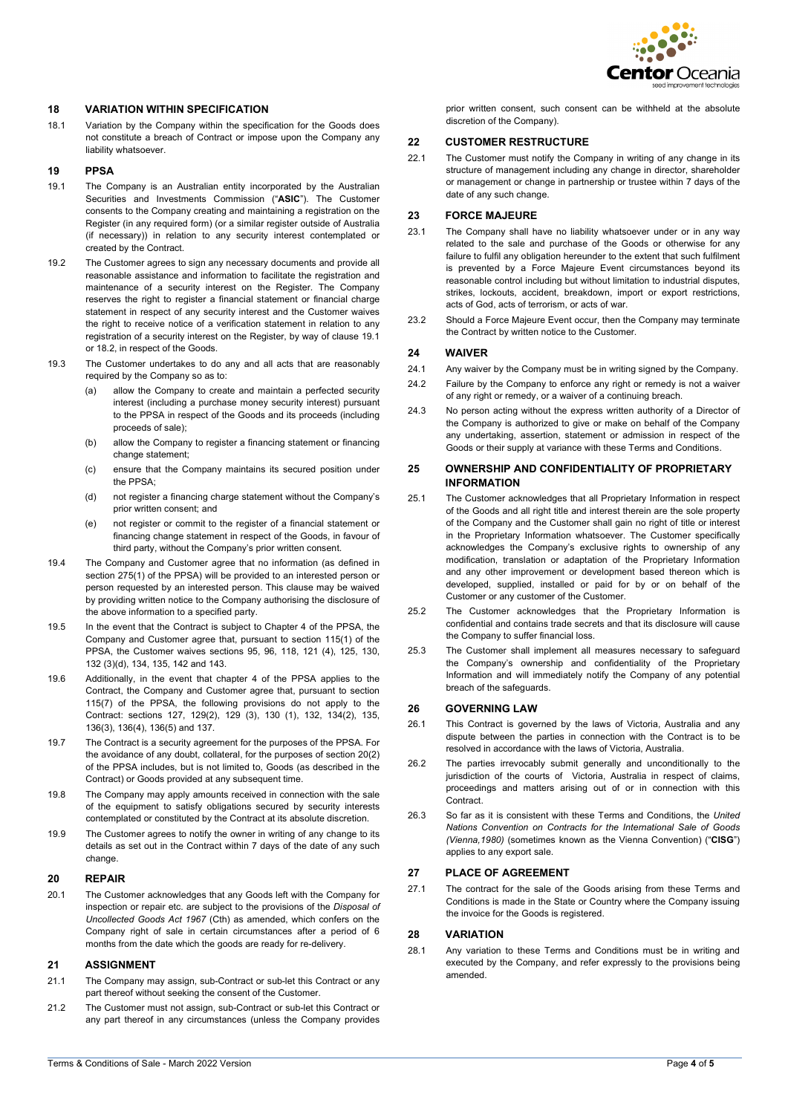

# **18 VARIATION WITHIN SPECIFICATION**

18.1 Variation by the Company within the specification for the Goods does not constitute a breach of Contract or impose upon the Company any liability whatsoever.

### **19 PPSA**

- <span id="page-3-0"></span>19.1 The Company is an Australian entity incorporated by the Australian Securities and Investments Commission ("**ASIC**"). The Customer consents to the Company creating and maintaining a registration on the Register (in any required form) (or a similar register outside of Australia (if necessary)) in relation to any security interest contemplated or created by the Contract.
- 19.2 The Customer agrees to sign any necessary documents and provide all reasonable assistance and information to facilitate the registration and maintenance of a security interest on the Register. The Company reserves the right to register a financial statement or financial charge statement in respect of any security interest and the Customer waives the right to receive notice of a verification statement in relation to any registration of a security interest on the Register, by way of claus[e 19.1](#page-3-0) or 18.2, in respect of the Goods.
- 19.3 The Customer undertakes to do any and all acts that are reasonably required by the Company so as to:
	- (a) allow the Company to create and maintain a perfected security interest (including a purchase money security interest) pursuant to the PPSA in respect of the Goods and its proceeds (including proceeds of sale);
	- (b) allow the Company to register a financing statement or financing change statement;
	- (c) ensure that the Company maintains its secured position under the PPSA;
	- (d) not register a financing charge statement without the Company's prior written consent; and
	- (e) not register or commit to the register of a financial statement or financing change statement in respect of the Goods, in favour of third party, without the Company's prior written consent.
- 19.4 The Company and Customer agree that no information (as defined in section 275(1) of the PPSA) will be provided to an interested person or person requested by an interested person. This clause may be waived by providing written notice to the Company authorising the disclosure of the above information to a specified party.
- 19.5 In the event that the Contract is subject to Chapter 4 of the PPSA, the Company and Customer agree that, pursuant to section 115(1) of the PPSA, the Customer waives sections 95, 96, 118, 121 (4), 125, 130, 132 (3)(d), 134, 135, 142 and 143.
- 19.6 Additionally, in the event that chapter 4 of the PPSA applies to the Contract, the Company and Customer agree that, pursuant to section 115(7) of the PPSA, the following provisions do not apply to the Contract: sections 127, 129(2), 129 (3), 130 (1), 132, 134(2), 135, 136(3), 136(4), 136(5) and 137.
- 19.7 The Contract is a security agreement for the purposes of the PPSA. For the avoidance of any doubt, collateral, for the purposes of section 20(2) of the PPSA includes, but is not limited to, Goods (as described in the Contract) or Goods provided at any subsequent time.
- 19.8 The Company may apply amounts received in connection with the sale of the equipment to satisfy obligations secured by security interests contemplated or constituted by the Contract at its absolute discretion.
- 19.9 The Customer agrees to notify the owner in writing of any change to its details as set out in the Contract within 7 days of the date of any such change.

#### **20 REPAIR**

20.1 The Customer acknowledges that any Goods left with the Company for inspection or repair etc. are subject to the provisions of the *Disposal of Uncollected Goods Act 1967* (Cth) as amended, which confers on the Company right of sale in certain circumstances after a period of 6 months from the date which the goods are ready for re-delivery.

#### **21 ASSIGNMENT**

- 21.1 The Company may assign, sub-Contract or sub-let this Contract or any part thereof without seeking the consent of the Customer.
- 21.2 The Customer must not assign, sub-Contract or sub-let this Contract or any part thereof in any circumstances (unless the Company provides

prior written consent, such consent can be withheld at the absolute discretion of the Company).

#### **22 CUSTOMER RESTRUCTURE**

22.1 The Customer must notify the Company in writing of any change in its structure of management including any change in director, shareholder or management or change in partnership or trustee within 7 days of the date of any such change.

### **23 FORCE MAJEURE**

- 23.1 The Company shall have no liability whatsoever under or in any way related to the sale and purchase of the Goods or otherwise for any failure to fulfil any obligation hereunder to the extent that such fulfilment is prevented by a Force Majeure Event circumstances beyond its reasonable control including but without limitation to industrial disputes, strikes, lockouts, accident, breakdown, import or export restrictions, acts of God, acts of terrorism, or acts of war.
- 23.2 Should a Force Majeure Event occur, then the Company may terminate the Contract by written notice to the Customer.

### **24 WAIVER**

- 24.1 Any waiver by the Company must be in writing signed by the Company.
- 24.2 Failure by the Company to enforce any right or remedy is not a waiver of any right or remedy, or a waiver of a continuing breach.
- 24.3 No person acting without the express written authority of a Director of the Company is authorized to give or make on behalf of the Company any undertaking, assertion, statement or admission in respect of the Goods or their supply at variance with these Terms and Conditions.

### **25 OWNERSHIP AND CONFIDENTIALITY OF PROPRIETARY INFORMATION**

- 25.1 The Customer acknowledges that all Proprietary Information in respect of the Goods and all right title and interest therein are the sole property of the Company and the Customer shall gain no right of title or interest in the Proprietary Information whatsoever. The Customer specifically acknowledges the Company's exclusive rights to ownership of any modification, translation or adaptation of the Proprietary Information and any other improvement or development based thereon which is developed, supplied, installed or paid for by or on behalf of the Customer or any customer of the Customer.
- 25.2 The Customer acknowledges that the Proprietary Information is confidential and contains trade secrets and that its disclosure will cause the Company to suffer financial loss.
- 25.3 The Customer shall implement all measures necessary to safeguard the Company's ownership and confidentiality of the Proprietary Information and will immediately notify the Company of any potential breach of the safeguards.

#### **26 GOVERNING LAW**

- 26.1 This Contract is governed by the laws of Victoria, Australia and any dispute between the parties in connection with the Contract is to be resolved in accordance with the laws of Victoria, Australia.
- 26.2 The parties irrevocably submit generally and unconditionally to the jurisdiction of the courts of Victoria, Australia in respect of claims, proceedings and matters arising out of or in connection with this **Contract.**
- 26.3 So far as it is consistent with these Terms and Conditions, the *United Nations Convention on Contracts for the International Sale of Goods (Vienna,1980)* (sometimes known as the Vienna Convention) ("**CISG**") applies to any export sale.

#### **27 PLACE OF AGREEMENT**

27.1 The contract for the sale of the Goods arising from these Terms and Conditions is made in the State or Country where the Company issuing the invoice for the Goods is registered.

#### **28 VARIATION**

28.1 Any variation to these Terms and Conditions must be in writing and executed by the Company, and refer expressly to the provisions being amended.